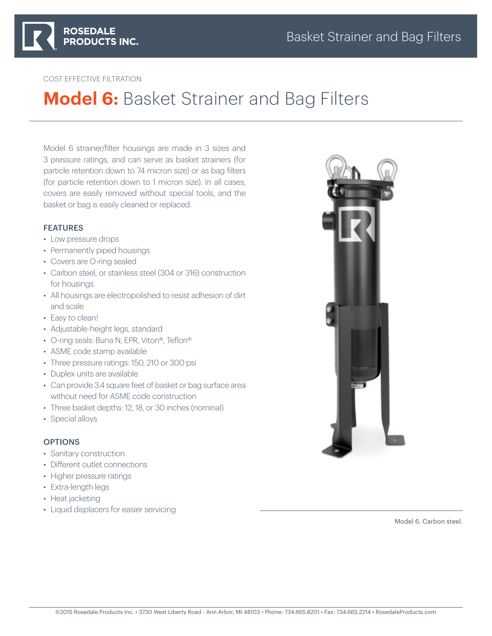

### COST EFFECTIVE FILTRATION

# **Model 6:** Basket Strainer and Bag Filters

Model 6 strainer/filter housings are made in 3 sizes and 3 pressure ratings, and can serve as basket strainers (for particle retention down to 74 micron size) or as bag filters (for particle retention down to 1 micron size). In all cases, covers are easily removed without special tools, and the basket or bag is easily cleaned or replaced.

### FEATURES

- Low pressure drops
- Permanently piped housings
- Covers are O-ring sealed
- Carbon steel, or stainless steel (304 or 316) construction for housings
- All housings are electropolished to resist adhesion of dirt and scale
- Easy to clean!
- Adjustable-height legs, standard
- O-ring seals: Buna N, EPR, Viton®, Teflon®
- ASME code stamp available
- Three pressure ratings: 150, 210 or 300 psi
- Duplex units are available
- Can provide 3.4 square feet of basket or bag surface area without need for ASME code construction
- Three basket depths: 12, 18, or 30 inches (nominal)
- Special alloys

### **OPTIONS**

- Sanitary construction
- Different outlet connections
- Higher pressure ratings
- Extra-length legs
- Heat jacketing
- Liquid displacers for easier servicing



Model 6. Carbon steel.